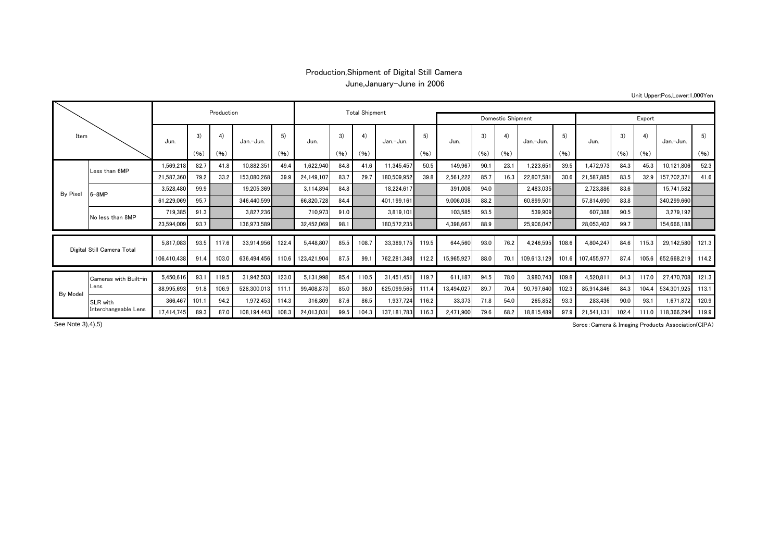## Production,Shipment of Digital Still Camera June,January-June in 2006

Unit Upper:Pcs,Lower:1,000Yen

| Item                       |                                  |             |       | Production |             |       |                          | <b>Total Shipment</b> |       |             |            |            |      |      |             |       |             |       |       |             |       |
|----------------------------|----------------------------------|-------------|-------|------------|-------------|-------|--------------------------|-----------------------|-------|-------------|------------|------------|------|------|-------------|-------|-------------|-------|-------|-------------|-------|
|                            |                                  |             |       |            |             |       | <b>Domestic Shipment</b> | Export                |       |             |            |            |      |      |             |       |             |       |       |             |       |
|                            |                                  | Jun.        | 3)    | 4)         | Jan.-Jun.   | 5)    | Jun.                     | 3)                    | 4)    | Jan.-Jun.   | 5)<br>(96) | Jun.       | 3)   | 4)   | Jan.-Jun.   | 5)    | Jun.        | 3)    | 4)    | Jan.-Jun.   | 5)    |
|                            |                                  |             | (96)  | (96)       |             | (96)  |                          | (96)                  | (96)  |             |            |            | (96) | (96) |             | (96)  |             | (96)  | (96)  |             | (96)  |
|                            | Less than 6MP                    | 1,569,218   | 82.7  | 41.8       | 10,882,351  | 49.4  | 1,622,940                | 84.8                  | 41.6  | 11,345,457  | 50.5       | 149,967    | 90.1 | 23.1 | 1,223,651   | 39.5  | 472,973     | 84.3  | 45.3  | 10,121,806  | 52.3  |
|                            |                                  | 21,587,360  | 79.2  | 33.2       | 153,080,268 | 39.9  | 24,149,107               | 83.7                  | 29.7  | 180,509,952 | 39.8       | 2,561,222  | 85.7 | 16.3 | 22,807,581  | 30.6  | 21,587,885  | 83.5  | 32.9  | 157,702,371 | 41.6  |
| By Pixel                   | $3-8MP$                          | 3,528,480   | 99.9  |            | 19.205.369  |       | 3,114,894                | 84.8                  |       | 18,224,617  |            | 391,008    | 94.0 |      | 2,483,035   |       | 2,723,886   | 83.6  |       | 15,741,582  |       |
|                            |                                  | 61,229,069  | 95.7  |            | 346,440,599 |       | 66,820,728               | 84.4                  |       | 401,199,161 |            | 9,006,038  | 88.2 |      | 60,899,501  |       | 57,814,690  | 83.8  |       | 340,299,660 |       |
|                            | No less than 8MP                 | 719,385     | 91.3  |            | 3,827,236   |       | 710,973                  | 91.0                  |       | 3.819.101   |            | 103,585    | 93.5 |      | 539,909     |       | 607,388     | 90.5  |       | 3,279,192   |       |
|                            |                                  | 23,594,009  | 93.7  |            | 136,973,589 |       | 32,452,069               | 98.1                  |       | 180,572,235 |            | 4,398,667  | 88.9 |      | 25,906,047  |       | 28,053,402  | 99.7  |       | 154,666,188 |       |
|                            |                                  |             |       |            |             |       |                          |                       |       |             |            |            |      |      |             |       |             |       |       |             |       |
| Digital Still Camera Total |                                  | 5.817.083   | 93.5  | 117.6      | 33.914.956  | 122.4 | 5.448.807                | 85.5                  | 108.7 | 33.389.175  | 119.5      | 644.560    | 93.0 | 76.2 | 4.246.595   | 108.6 | 4.804.247   | 84.6  | 115.3 | 29,142,580  | 121.3 |
|                            |                                  | 106.410.438 | 91.4  | 103.0      | 636.494.456 | 110.6 | 123.421.904              | 87.5                  | 99.   | 762.281.348 | 112.2      | 15,965,927 | 88.0 | 70.7 | 109.613.129 | 101.6 | 107.455.977 | 87.4  | 105.6 | 652,668,219 | 114.2 |
|                            | Cameras with Built-in<br>Lens    | 5,450,616   | 93.1  | 119.5      | 31,942,503  | 123.0 | 5,131,998                | 85.4                  | 110.5 | 31,451,451  | 119.7      | 611,187    | 94.5 | 78.0 | 3,980,743   | 109.8 | 4,520,811   | 84.3  | 117.0 | 27,470,708  | 121.3 |
|                            |                                  | 88,995,693  | 91.8  | 106.9      | 528,300,013 | 111.7 | 99,408,873               | 85.0                  | 98.0  | 625,099,565 | 111.4      | 13,494,027 | 89.7 | 70.4 | 90,797,640  | 102.3 | 85,914,846  | 84.3  | 104.4 | 534.301.925 | 113.1 |
| By Model                   | SLR with<br>Interchangeable Lens | 366,467     | 101.1 | 94.2       | 1,972,453   | 114.3 | 316,809                  | 87.6                  | 86.5  | 1,937,724   | 116.2      | 33,373     | 71.8 | 54.0 | 265,852     | 93.3  | 283,436     | 90.0  | 93.1  | 1,671,872   | 120.9 |
|                            |                                  | 17.414.745  | 89.3  | 87.0       | 108.194.443 | 108.3 | 24.013.031               | 99.5                  | 104.3 | 137.181.783 | 116.3      | 2,471,900  | 79.6 | 68.2 | 18.815.489  | 97.9  | 21.541.131  | 102.4 | 111.0 | 118.366.294 | 119.9 |

See Note 3), 4), 5)

Sorce:Camera & Imaging Products Association(CIPA)